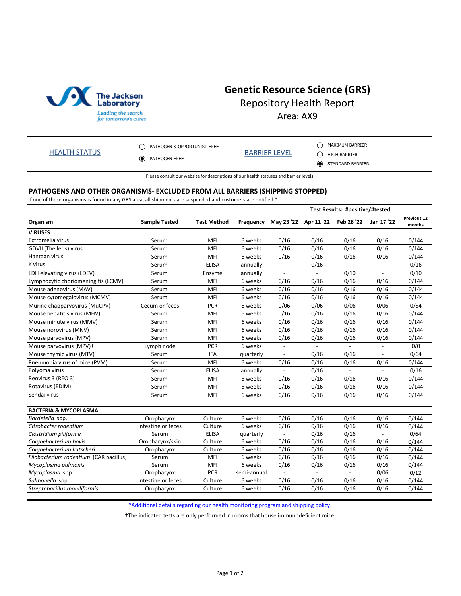

## **Genetic Resource Science (GRS)** Repository Health Report Area: AX9

[HEALTH STATUS](https://www.jax.org/jax-mice-and-services/customer-support/animal-health/health-status-reports) STATISTICS O PATHOGEN & OPPORTUNIST FREE **EXECUTE PATHOGEN FREE** 

MAXIMUM BARRIER

 $\odot$  STANDARD BARRIER

Please consult our website for descriptions of our health statuses and barrier levels.

## **PATHOGENS AND OTHER ORGANISMS- EXCLUDED FROM ALL BARRIERS (SHIPPING STOPPED)**

If one of these organisms is found in any GRS area, all shipments are suspended and customers are notified.\*

|                                        |                      |                    |             |                                  | Test Results: #positive/#tested |                          |                |                       |
|----------------------------------------|----------------------|--------------------|-------------|----------------------------------|---------------------------------|--------------------------|----------------|-----------------------|
| Organism                               | <b>Sample Tested</b> | <b>Test Method</b> | Frequency   | May 23 '22 Apr 11 '22 Feb 28 '22 |                                 |                          | Jan 17 '22     | Previous 12<br>months |
| <b>VIRUSES</b>                         |                      |                    |             |                                  |                                 |                          |                |                       |
| Ectromelia virus                       | Serum                | MFI                | 6 weeks     | 0/16                             | 0/16                            | 0/16                     | 0/16           | 0/144                 |
| GDVII (Theiler's) virus                | Serum                | MFI                | 6 weeks     | 0/16                             | 0/16                            | 0/16                     | 0/16           | 0/144                 |
| Hantaan virus                          | Serum                | MFI                | 6 weeks     | 0/16                             | 0/16                            | 0/16                     | 0/16           | 0/144                 |
| K virus                                | Serum                | <b>ELISA</b>       | annually    |                                  | 0/16                            |                          |                | 0/16                  |
| LDH elevating virus (LDEV)             | Serum                | Enzyme             | annually    |                                  |                                 | 0/10                     |                | 0/10                  |
| Lymphocytic choriomeningitis (LCMV)    | Serum                | MFI                | 6 weeks     | 0/16                             | 0/16                            | 0/16                     | 0/16           | 0/144                 |
| Mouse adenovirus (MAV)                 | Serum                | MFI                | 6 weeks     | 0/16                             | 0/16                            | 0/16                     | 0/16           | 0/144                 |
| Mouse cytomegalovirus (MCMV)           | Serum                | MFI                | 6 weeks     | 0/16                             | 0/16                            | 0/16                     | 0/16           | 0/144                 |
| Murine chapparvovirus (MuCPV)          | Cecum or feces       | <b>PCR</b>         | 6 weeks     | 0/06                             | 0/06                            | 0/06                     | 0/06           | 0/54                  |
| Mouse hepatitis virus (MHV)            | Serum                | MFI                | 6 weeks     | 0/16                             | 0/16                            | 0/16                     | 0/16           | 0/144                 |
| Mouse minute virus (MMV)               | Serum                | MFI                | 6 weeks     | 0/16                             | 0/16                            | 0/16                     | 0/16           | 0/144                 |
| Mouse norovirus (MNV)                  | Serum                | MFI                | 6 weeks     | 0/16                             | 0/16                            | 0/16                     | 0/16           | 0/144                 |
| Mouse parvovirus (MPV)                 | Serum                | MFI                | 6 weeks     | 0/16                             | 0/16                            | 0/16                     | 0/16           | 0/144                 |
| Mouse parvovirus (MPV)+                | Lymph node           | <b>PCR</b>         | 6 weeks     | $\overline{\phantom{a}}$         | $\overline{\phantom{a}}$        | $\overline{\phantom{a}}$ | $\blacksquare$ | 0/0                   |
| Mouse thymic virus (MTV)               | Serum                | <b>IFA</b>         | quarterly   | $\overline{\phantom{a}}$         | 0/16                            | 0/16                     | $\overline{a}$ | 0/64                  |
| Pneumonia virus of mice (PVM)          | Serum                | MFI                | 6 weeks     | 0/16                             | 0/16                            | 0/16                     | 0/16           | 0/144                 |
| Polyoma virus                          | Serum                | <b>ELISA</b>       | annually    |                                  | 0/16                            |                          |                | 0/16                  |
| Reovirus 3 (REO 3)                     | Serum                | MFI                | 6 weeks     | 0/16                             | 0/16                            | 0/16                     | 0/16           | 0/144                 |
| Rotavirus (EDIM)                       | Serum                | MFI                | 6 weeks     | 0/16                             | 0/16                            | 0/16                     | 0/16           | 0/144                 |
| Sendai virus                           | Serum                | MFI                | 6 weeks     | 0/16                             | 0/16                            | 0/16                     | 0/16           | 0/144                 |
| <b>BACTERIA &amp; MYCOPLASMA</b>       |                      |                    |             |                                  |                                 |                          |                |                       |
| Bordetella spp.                        | Oropharynx           | Culture            | 6 weeks     | 0/16                             | 0/16                            | 0/16                     | 0/16           | 0/144                 |
| Citrobacter rodentium                  | Intestine or feces   | Culture            | 6 weeks     | 0/16                             | 0/16                            | 0/16                     | 0/16           | 0/144                 |
| Clostridium piliforme                  | Serum                | <b>ELISA</b>       | quarterly   |                                  | 0/16                            | 0/16                     |                | 0/64                  |
| Corynebacterium bovis                  | Oropharynx/skin      | Culture            | 6 weeks     | 0/16                             | 0/16                            | 0/16                     | 0/16           | 0/144                 |
| Corynebacterium kutscheri              | Oropharynx           | Culture            | 6 weeks     | 0/16                             | 0/16                            | 0/16                     | 0/16           | 0/144                 |
| Filobacterium rodentium (CAR bacillus) | Serum                | MFI                | 6 weeks     | 0/16                             | 0/16                            | 0/16                     | 0/16           | 0/144                 |
| Mycoplasma pulmonis                    | Serum                | MFI                | 6 weeks     | 0/16                             | 0/16                            | 0/16                     | 0/16           | 0/144                 |
| Mycoplasma spp.                        | Oropharynx           | <b>PCR</b>         | semi-annual |                                  |                                 |                          | 0/06           | 0/12                  |
| Salmonella spp.                        | Intestine or feces   | Culture            | 6 weeks     | 0/16                             | 0/16                            | 0/16                     | 0/16           | 0/144                 |
| Streptobacillus moniliformis           | Oropharynx           | Culture            | 6 weeks     | 0/16                             | 0/16                            | 0/16                     | 0/16           | 0/144                 |

\*Additional details regarding our health monitoring program and shipping policy.

†The indicated tests are only performed in rooms that house immunodeficient mice.